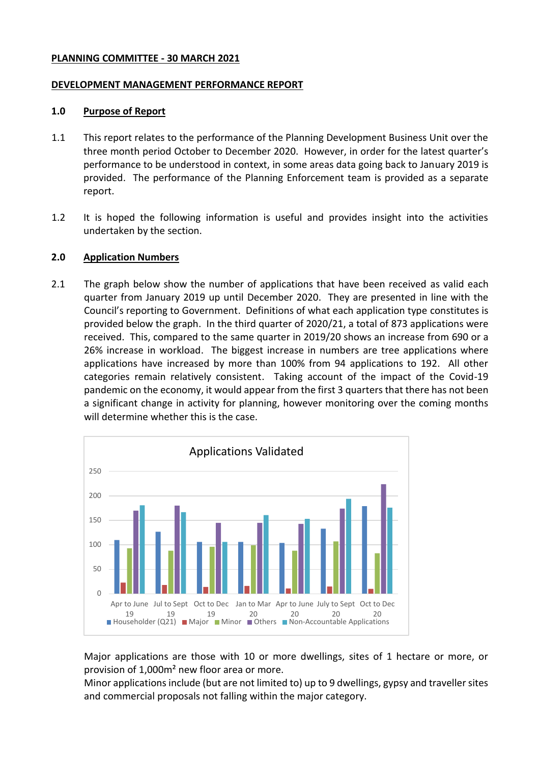#### **PLANNING COMMITTEE - 30 MARCH 2021**

#### **DEVELOPMENT MANAGEMENT PERFORMANCE REPORT**

#### **1.0 Purpose of Report**

- 1.1 This report relates to the performance of the Planning Development Business Unit over the three month period October to December 2020. However, in order for the latest quarter's performance to be understood in context, in some areas data going back to January 2019 is provided. The performance of the Planning Enforcement team is provided as a separate report.
- 1.2 It is hoped the following information is useful and provides insight into the activities undertaken by the section.

### **2.0 Application Numbers**

2.1 The graph below show the number of applications that have been received as valid each quarter from January 2019 up until December 2020. They are presented in line with the Council's reporting to Government. Definitions of what each application type constitutes is provided below the graph. In the third quarter of 2020/21, a total of 873 applications were received. This, compared to the same quarter in 2019/20 shows an increase from 690 or a 26% increase in workload. The biggest increase in numbers are tree applications where applications have increased by more than 100% from 94 applications to 192. All other categories remain relatively consistent. Taking account of the impact of the Covid-19 pandemic on the economy, it would appear from the first 3 quarters that there has not been a significant change in activity for planning, however monitoring over the coming months will determine whether this is the case.



Major applications are those with 10 or more dwellings, sites of 1 hectare or more, or provision of 1,000m² new floor area or more.

Minor applications include (but are not limited to) up to 9 dwellings, gypsy and traveller sites and commercial proposals not falling within the major category.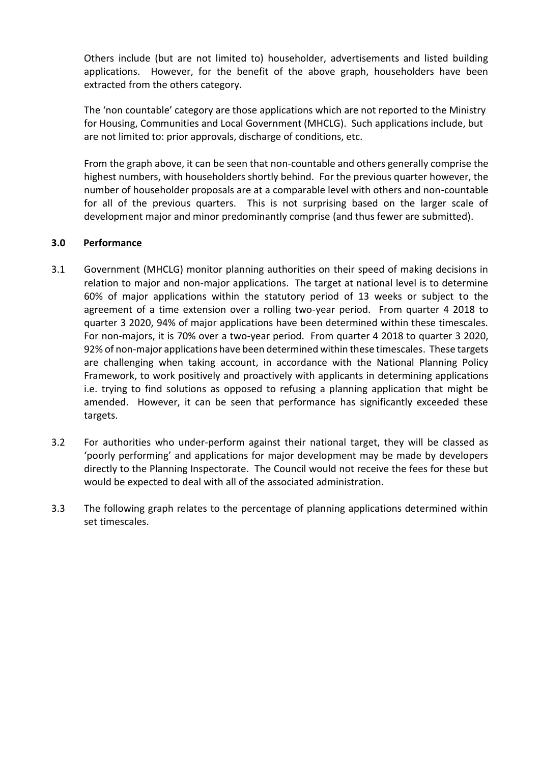Others include (but are not limited to) householder, advertisements and listed building applications. However, for the benefit of the above graph, householders have been extracted from the others category.

The 'non countable' category are those applications which are not reported to the Ministry for Housing, Communities and Local Government (MHCLG). Such applications include, but are not limited to: prior approvals, discharge of conditions, etc.

From the graph above, it can be seen that non-countable and others generally comprise the highest numbers, with householders shortly behind. For the previous quarter however, the number of householder proposals are at a comparable level with others and non-countable for all of the previous quarters. This is not surprising based on the larger scale of development major and minor predominantly comprise (and thus fewer are submitted).

## **3.0 Performance**

- 3.1 Government (MHCLG) monitor planning authorities on their speed of making decisions in relation to major and non-major applications. The target at national level is to determine 60% of major applications within the statutory period of 13 weeks or subject to the agreement of a time extension over a rolling two-year period. From quarter 4 2018 to quarter 3 2020, 94% of major applications have been determined within these timescales. For non-majors, it is 70% over a two-year period. From quarter 4 2018 to quarter 3 2020, 92% of non-major applications have been determined within these timescales. These targets are challenging when taking account, in accordance with the National Planning Policy Framework, to work positively and proactively with applicants in determining applications i.e. trying to find solutions as opposed to refusing a planning application that might be amended. However, it can be seen that performance has significantly exceeded these targets.
- 3.2 For authorities who under-perform against their national target, they will be classed as 'poorly performing' and applications for major development may be made by developers directly to the Planning Inspectorate. The Council would not receive the fees for these but would be expected to deal with all of the associated administration.
- 3.3 The following graph relates to the percentage of planning applications determined within set timescales.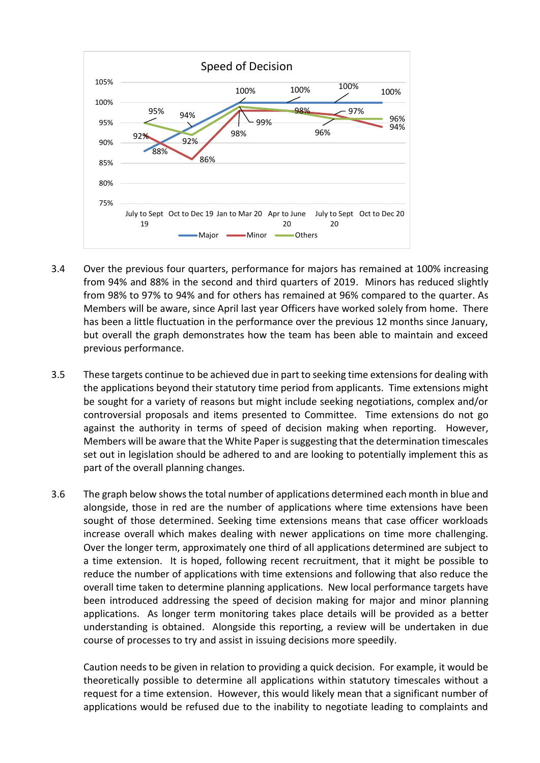

- 3.4 Over the previous four quarters, performance for majors has remained at 100% increasing from 94% and 88% in the second and third quarters of 2019. Minors has reduced slightly from 98% to 97% to 94% and for others has remained at 96% compared to the quarter. As Members will be aware, since April last year Officers have worked solely from home. There has been a little fluctuation in the performance over the previous 12 months since January, but overall the graph demonstrates how the team has been able to maintain and exceed previous performance.
- 3.5 These targets continue to be achieved due in part to seeking time extensions for dealing with the applications beyond their statutory time period from applicants. Time extensions might be sought for a variety of reasons but might include seeking negotiations, complex and/or controversial proposals and items presented to Committee. Time extensions do not go against the authority in terms of speed of decision making when reporting. However, Members will be aware that the White Paper is suggesting that the determination timescales set out in legislation should be adhered to and are looking to potentially implement this as part of the overall planning changes.
- 3.6 The graph below shows the total number of applications determined each month in blue and alongside, those in red are the number of applications where time extensions have been sought of those determined. Seeking time extensions means that case officer workloads increase overall which makes dealing with newer applications on time more challenging. Over the longer term, approximately one third of all applications determined are subject to a time extension. It is hoped, following recent recruitment, that it might be possible to reduce the number of applications with time extensions and following that also reduce the overall time taken to determine planning applications. New local performance targets have been introduced addressing the speed of decision making for major and minor planning applications. As longer term monitoring takes place details will be provided as a better understanding is obtained. Alongside this reporting, a review will be undertaken in due course of processes to try and assist in issuing decisions more speedily.

Caution needs to be given in relation to providing a quick decision. For example, it would be theoretically possible to determine all applications within statutory timescales without a request for a time extension. However, this would likely mean that a significant number of applications would be refused due to the inability to negotiate leading to complaints and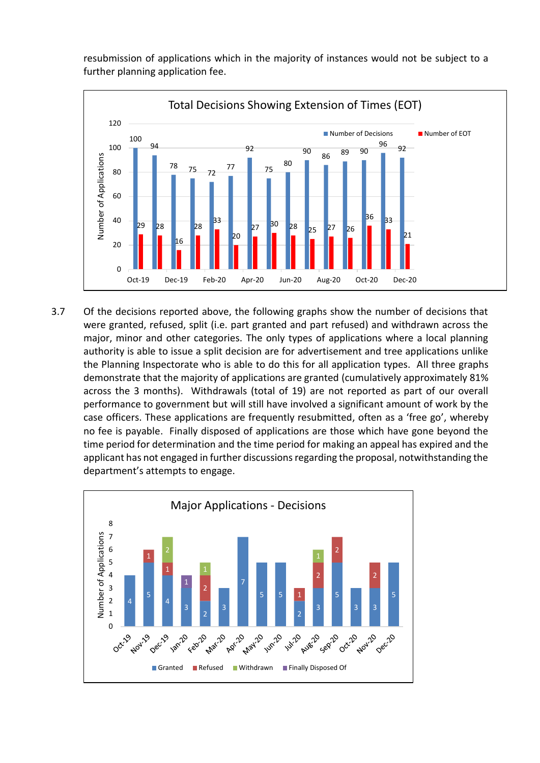resubmission of applications which in the majority of instances would not be subject to a further planning application fee.



3.7 Of the decisions reported above, the following graphs show the number of decisions that were granted, refused, split (i.e. part granted and part refused) and withdrawn across the major, minor and other categories. The only types of applications where a local planning authority is able to issue a split decision are for advertisement and tree applications unlike the Planning Inspectorate who is able to do this for all application types. All three graphs demonstrate that the majority of applications are granted (cumulatively approximately 81% across the 3 months). Withdrawals (total of 19) are not reported as part of our overall performance to government but will still have involved a significant amount of work by the case officers. These applications are frequently resubmitted, often as a 'free go', whereby no fee is payable. Finally disposed of applications are those which have gone beyond the time period for determination and the time period for making an appeal has expired and the applicant has not engaged in further discussions regarding the proposal, notwithstanding the department's attempts to engage.

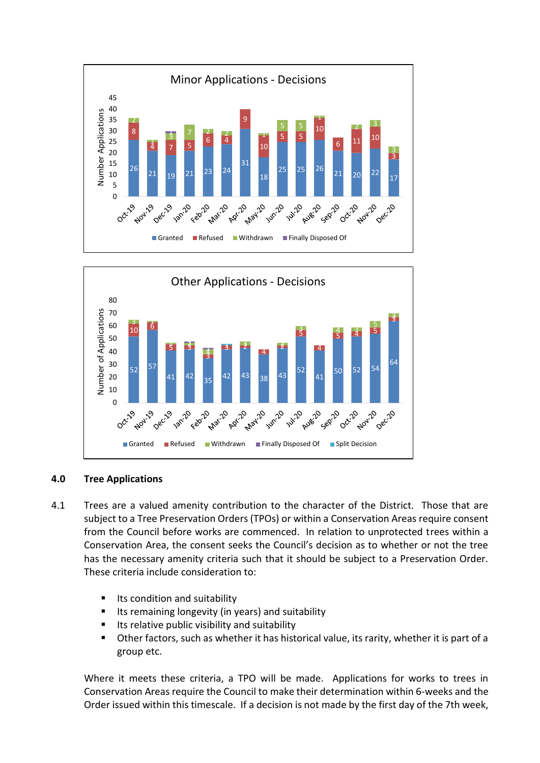



### **4.0 Tree Applications**

- 4.1 Trees are a valued amenity contribution to the character of the District. Those that are subject to a Tree Preservation Orders (TPOs) or within a Conservation Areas require consent from the Council before works are commenced. In relation to unprotected trees within a Conservation Area, the consent seeks the Council's decision as to whether or not the tree has the necessary amenity criteria such that it should be subject to a Preservation Order. These criteria include consideration to:
	- Its condition and suitability
	- $\blacksquare$  Its remaining longevity (in years) and suitability
	- Its relative public visibility and suitability
	- Other factors, such as whether it has historical value, its rarity, whether it is part of a group etc.

Where it meets these criteria, a TPO will be made. Applications for works to trees in Conservation Areas require the Council to make their determination within 6-weeks and the Order issued within this timescale. If a decision is not made by the first day of the 7th week,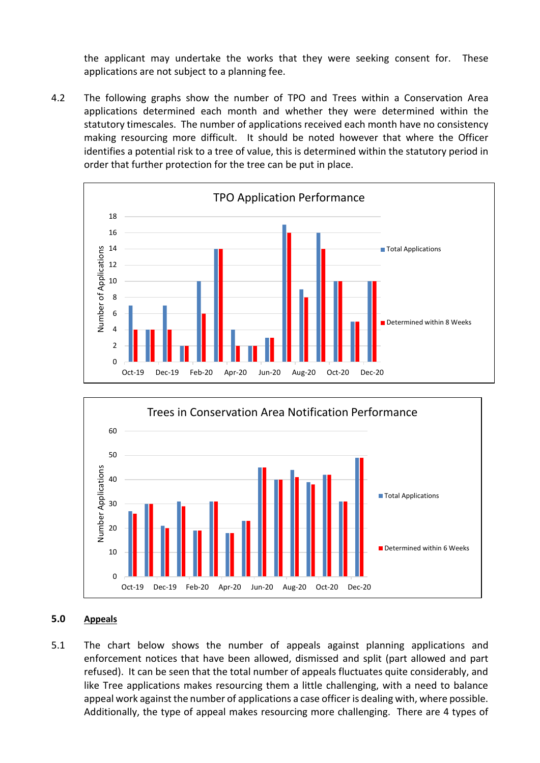the applicant may undertake the works that they were seeking consent for. These applications are not subject to a planning fee.

4.2 The following graphs show the number of TPO and Trees within a Conservation Area applications determined each month and whether they were determined within the statutory timescales. The number of applications received each month have no consistency making resourcing more difficult. It should be noted however that where the Officer identifies a potential risk to a tree of value, this is determined within the statutory period in order that further protection for the tree can be put in place.





## **5.0 Appeals**

5.1 The chart below shows the number of appeals against planning applications and enforcement notices that have been allowed, dismissed and split (part allowed and part refused). It can be seen that the total number of appeals fluctuates quite considerably, and like Tree applications makes resourcing them a little challenging, with a need to balance appeal work against the number of applications a case officer is dealing with, where possible. Additionally, the type of appeal makes resourcing more challenging. There are 4 types of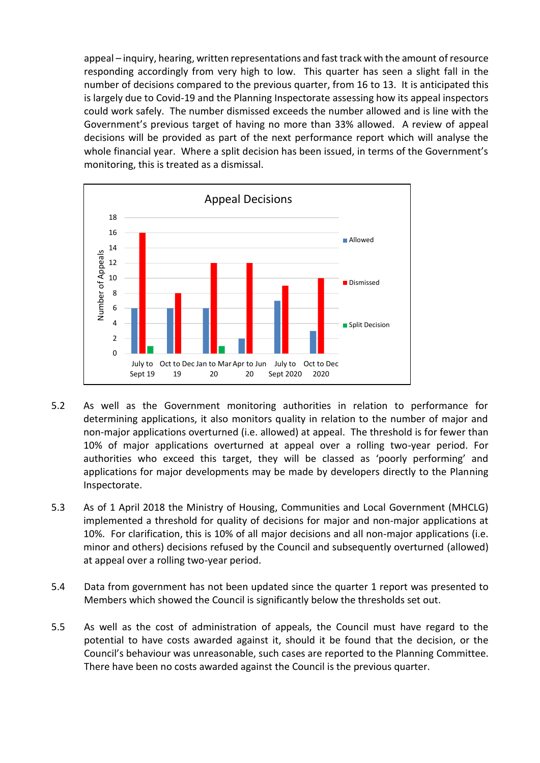appeal – inquiry, hearing, written representations and fast track with the amount of resource responding accordingly from very high to low. This quarter has seen a slight fall in the number of decisions compared to the previous quarter, from 16 to 13. It is anticipated this is largely due to Covid-19 and the Planning Inspectorate assessing how its appeal inspectors could work safely. The number dismissed exceeds the number allowed and is line with the Government's previous target of having no more than 33% allowed. A review of appeal decisions will be provided as part of the next performance report which will analyse the whole financial year. Where a split decision has been issued, in terms of the Government's monitoring, this is treated as a dismissal.



- 5.2 As well as the Government monitoring authorities in relation to performance for determining applications, it also monitors quality in relation to the number of major and non-major applications overturned (i.e. allowed) at appeal. The threshold is for fewer than 10% of major applications overturned at appeal over a rolling two-year period. For authorities who exceed this target, they will be classed as 'poorly performing' and applications for major developments may be made by developers directly to the Planning Inspectorate.
- 5.3 As of 1 April 2018 the Ministry of Housing, Communities and Local Government (MHCLG) implemented a threshold for quality of decisions for major and non-major applications at 10%. For clarification, this is 10% of all major decisions and all non-major applications (i.e. minor and others) decisions refused by the Council and subsequently overturned (allowed) at appeal over a rolling two-year period.
- 5.4 Data from government has not been updated since the quarter 1 report was presented to Members which showed the Council is significantly below the thresholds set out.
- 5.5 As well as the cost of administration of appeals, the Council must have regard to the potential to have costs awarded against it, should it be found that the decision, or the Council's behaviour was unreasonable, such cases are reported to the Planning Committee. There have been no costs awarded against the Council is the previous quarter.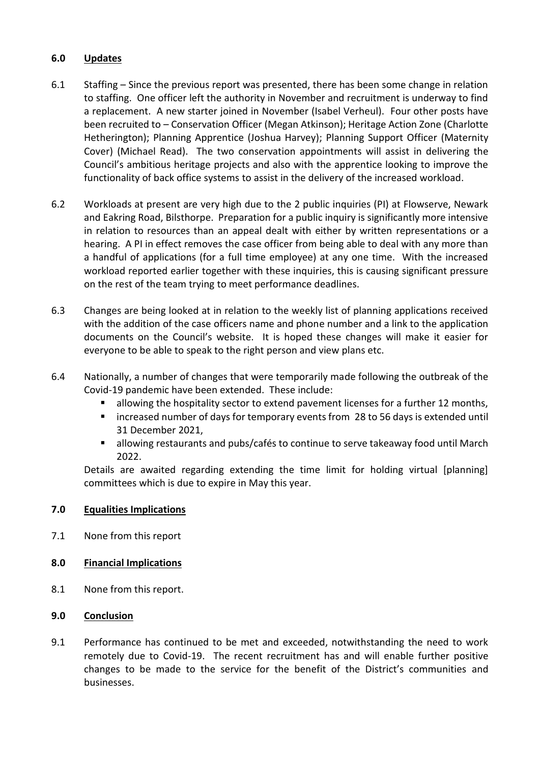# **6.0 Updates**

- 6.1 Staffing Since the previous report was presented, there has been some change in relation to staffing. One officer left the authority in November and recruitment is underway to find a replacement. A new starter joined in November (Isabel Verheul). Four other posts have been recruited to – Conservation Officer (Megan Atkinson); Heritage Action Zone (Charlotte Hetherington); Planning Apprentice (Joshua Harvey); Planning Support Officer (Maternity Cover) (Michael Read). The two conservation appointments will assist in delivering the Council's ambitious heritage projects and also with the apprentice looking to improve the functionality of back office systems to assist in the delivery of the increased workload.
- 6.2 Workloads at present are very high due to the 2 public inquiries (PI) at Flowserve, Newark and Eakring Road, Bilsthorpe. Preparation for a public inquiry is significantly more intensive in relation to resources than an appeal dealt with either by written representations or a hearing. A PI in effect removes the case officer from being able to deal with any more than a handful of applications (for a full time employee) at any one time. With the increased workload reported earlier together with these inquiries, this is causing significant pressure on the rest of the team trying to meet performance deadlines.
- 6.3 Changes are being looked at in relation to the weekly list of planning applications received with the addition of the case officers name and phone number and a link to the application documents on the Council's website. It is hoped these changes will make it easier for everyone to be able to speak to the right person and view plans etc.
- 6.4 Nationally, a number of changes that were temporarily made following the outbreak of the Covid-19 pandemic have been extended. These include:
	- allowing the hospitality sector to extend pavement licenses for a further 12 months,
	- increased number of days for temporary events from 28 to 56 days is extended until 31 December 2021,
	- allowing restaurants and pubs/cafés to continue to serve takeaway food until March 2022.

Details are awaited regarding extending the time limit for holding virtual [planning] committees which is due to expire in May this year.

# **7.0 Equalities Implications**

7.1 None from this report

# **8.0 Financial Implications**

8.1 None from this report.

# **9.0 Conclusion**

9.1 Performance has continued to be met and exceeded, notwithstanding the need to work remotely due to Covid-19. The recent recruitment has and will enable further positive changes to be made to the service for the benefit of the District's communities and businesses.